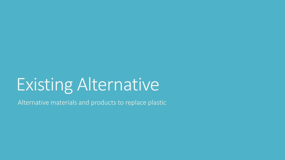# Existing Alternative

Alternative materials and products to replace plastic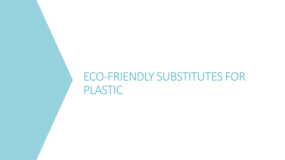### ECO-FRIENDLY SUBSTITUTES FOR PLASTIC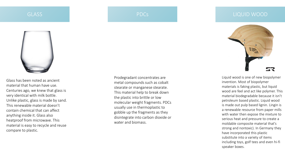### **GLASS**

PDCs



Glass has been noted as ancient material that human have use. Centuries ago, we knew that glass is very identical with milk bottle. Unlike plastic, glass is made by sand. This renewable material doesn't contain chemical that can affect anything inside it. Glass also heatproof from microwave. This material is easy to recycle and reuse compare to plastic.

Prodegradant concentrates are metal compounds such as cobalt stearate or manganese stearate. This material help to break down the plastic into brittle or low molecular weight fragments. PDCs usually use in thermoplastic to gobble up the fragments as they disintegrate into carbon dioxide or water and biomass.



Liquid wood is one of new biopolymer invention. Most of biopolymer materials is faking plastic, but liquid wood are feel and act like polymer. This material biodegradable because it isn't petroleum based plastic. Liquid wood is made out pulp based lignin. Lingin is a renewable resource from paper mills with water then expose the mixture to serious heat and pressure to create a moldable composite material that's strong and nontoxic). In Germany they have incorporated this plastic substitute into a variety of items including toys, golf tees and even hi-fi speaker boxes.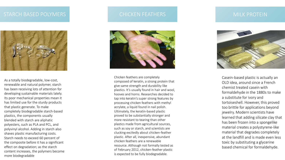### STARCH BASED POLYMERS NARROW CHICKEN FEATHERS NARROW MILK PROTEIN



As a totally biodegradable, low-cost, renewable and natural polymer, starch has been receiving lots of attention for developing sustainable materials lately. Its poor mechanical properties mean it has limited use for the sturdy products that plastic generate. To make completely biodegradable starch-based plastics, the components usually blended with starch are aliphatic polyesters, such as PLA and PCL, and polyvinyl alcohol. Adding in starch also shaves plastic manufacturing costs. Starch needs to exceed 60 percent of the composite before it has a significant effect on degradation; as the starch content increases, the polymers become more biodegradable



Chicken feathers are completely composed of keratin, a strong protein that give same strength and durability like plastics. It's usually found in hair and wool, hooves and horns. Researches decided to tap into keratin's super strong features by processing chicken feathers with methyl acrylate, a liquid found in nail polish. Ultimately, the keratin-based plastic proved to be substantially stronger and more resistant to tearing than other plastics made from agricultural sources, such as soy or starch, and scientists are clucking excitedly about chicken-feather plastic. After all, inexpensive, abundant chicken feathers are a renewable resource. Although not formally tested as of February 2012, chicken-feather plastic is expected to be fully biodegradable.



Casein-based plastic is actually an OLD idea, around since a French chemist treated casein with formaldehyde in the 1880s to make a substitute for ivory and tortoiseshell. However, this proved too brittle for applications beyond jewelry. Modern scientists have learned that adding silicate clay that has been frozen into a spongelike material creates a polystyrene-like material that degrades completely at the landfill and is made even less toxic by substituting a glycerine based chemical for formaldehyde.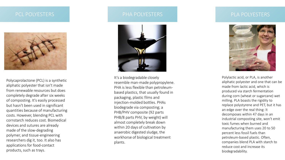### PCL POLYESTERS PCL POLYESTERS



Polycaprolactone (PCL) is a synthetic aliphatic polyester that isn't made from renewable resources but does completely degrade after six weeks of composting. It's easily processed but hasn't been used in significant quantities because of manufacturing costs. However, blending PCL with cornstarch reduces cost. Biomedical devices and sutures are already made of the slow-degrading polymer, and tissue-engineering researchers dig it, too. It also has applications for food-contact products, such as trays.



It's a biodegradable closely resemble man-made polypropylene. PHA is less flexible than petroleumbased plastics, that usually found in packaging, plastic films and injection-molded bottles. PHAs biodegrade via composting; a PHB/PHV composite (92 parts PHB/8 parts PHV, by weight) will almost completely break down within 20 days of cultivation by anaerobic digested sludge, the workhorse of biological treatment plants.

### PLA POLYESTERS



Polylactic acid, or PLA, is another aliphatic polyester and one that can be made from lactic acid, which is produced via starch fermentation during corn (wheat or sugarcane) wet milling. PLA boasts the rigidity to replace polystyrene and PET, but it has an edge over the real thing: It decomposes within 47 days in an industrial composting site, won't emit toxic fumes when burned and manufacturing them uses 20 to 50 percent less fossil fuels than petroleum-based plastic. Often, companies blend PLA with starch to reduce cost and increase its biodegradability.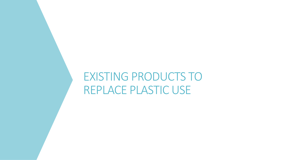### EXISTING PRODUCTS TO REPLACE PLASTIC USE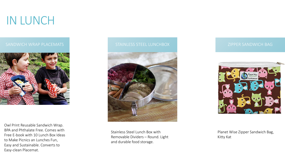## IN LUNCH



Owl Print Reusable Sandwich Wrap. BPA and Phthalate Free. Comes with Free E-book with 10 Lunch Box Ideas to Make Picnics an Lunches Fun, Easy and Sustainable. Converts to Easy-clean Placemat.



Stainless Steel Lunch Box with Removable Dividers – Round. Light and durable food storage.



Planet Wise Zipper Sandwich Bag, Kitty Kat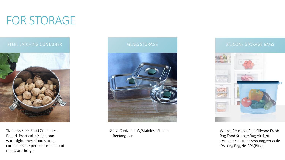## FOR STORAGE



Stainless Steel Food Container – Round. Practical, airtight and watertight, these food storage containers are perfect for real food meals on-the-go.





Glass Container W/Stainless Steel lid – Rectangular.



Wumal Reusable Seal Silicone Fresh Bag Food Storage Bag Airtight Container 1-Liter Fresh Bag,Versatile Cooking Bag,No-BPA(Blue)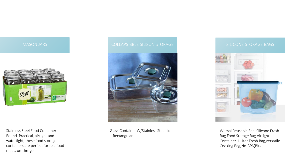

Stainless Steel Food Container – Round. Practical, airtight and watertight, these food storage containers are perfect for real food meals on-the-go.



Glass Container W/Stainless Steel lid – Rectangular.



Wumal Reusable Seal Silicone Fresh Bag Food Storage Bag Airtight Container 1-Liter Fresh Bag,Versatile Cooking Bag,No-BPA(Blue)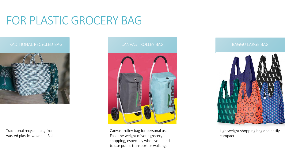## FOR PLASTIC GROCERY BAG



Traditional recycled bag from wasted plastic, woven in Bali.





Canvas trolley bag for personal use. Ease the weight of your grocery shopping, especially when you need to use public transport or walking.

BAGGU LARGE BAG



Lightweight shopping bag and easily compact.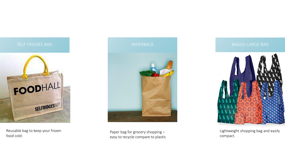

Reusable bag to keep your frozen food cold.



Paper bag for grocery shopping – easy to recycle compare to plastic



Lightweight shopping bag and easily compact.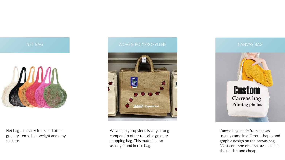

NET BAG

Net bag – to carry fruits and other grocery items. Lightweight and easy to store.





Woven polypropylene is very strong compare to other reusable grocery shopping bag. This material also usually found in rice bag.

CANVAS BAG



Canvas bag made from canvas, usually came in different shapes and graphic design on the canvas bag. Most common one that available at the market and cheap.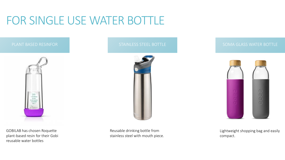## FOR SINGLE USE WATER BOTTLE



GOBILAB has chosen Roquette plant-based resin for their Gobi reusable water bottles



Reusable drinking bottle from stainless steel with mouth piece.



Lightweight shopping bag and easily compact.